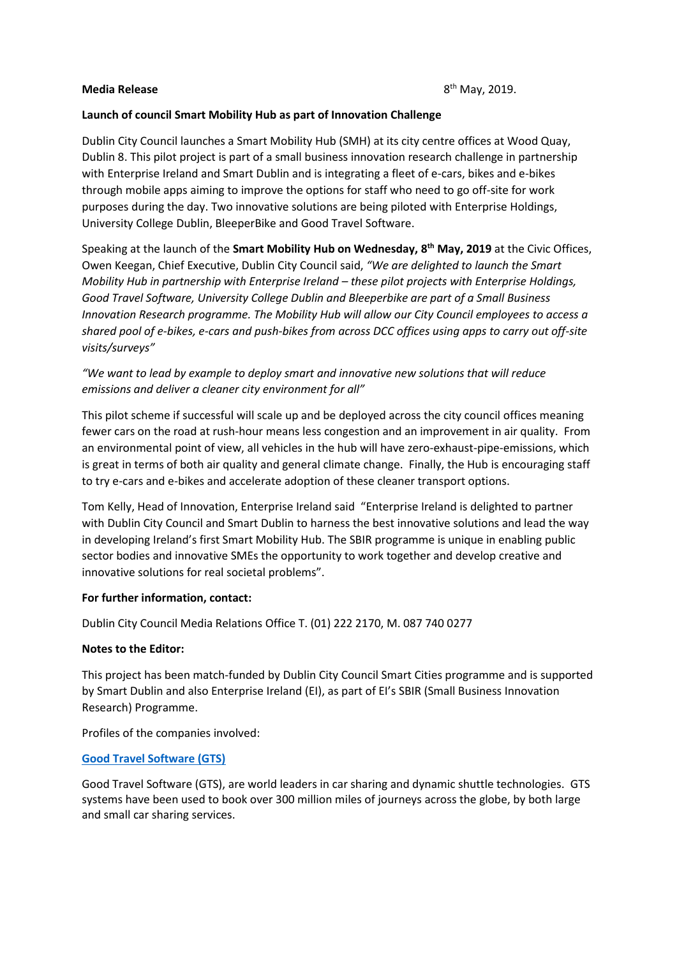#### **Media Release**

# **Launch of council Smart Mobility Hub as part of Innovation Challenge**

Dublin City Council launches a Smart Mobility Hub (SMH) at its city centre offices at Wood Quay, Dublin 8. This pilot project is part of a small business innovation research challenge in partnership with Enterprise Ireland and Smart Dublin and is integrating a fleet of e-cars, bikes and e-bikes through mobile apps aiming to improve the options for staff who need to go off-site for work purposes during the day. Two innovative solutions are being piloted with Enterprise Holdings, University College Dublin, BleeperBike and Good Travel Software.

Speaking at the launch of the **Smart Mobility Hub on Wednesday, 8th May, 2019** at the Civic Offices, Owen Keegan, Chief Executive, Dublin City Council said, *"We are delighted to launch the Smart Mobility Hub in partnership with Enterprise Ireland – these pilot projects with Enterprise Holdings, Good Travel Software, University College Dublin and Bleeperbike are part of a Small Business Innovation Research programme. The Mobility Hub will allow our City Council employees to access a shared pool of e-bikes, e-cars and push-bikes from across DCC offices using apps to carry out off-site visits/surveys"*

# *"We want to lead by example to deploy smart and innovative new solutions that will reduce emissions and deliver a cleaner city environment for all"*

This pilot scheme if successful will scale up and be deployed across the city council offices meaning fewer cars on the road at rush-hour means less congestion and an improvement in air quality. From an environmental point of view, all vehicles in the hub will have zero-exhaust-pipe-emissions, which is great in terms of both air quality and general climate change. Finally, the Hub is encouraging staff to try e-cars and e-bikes and accelerate adoption of these cleaner transport options.

Tom Kelly, Head of Innovation, Enterprise Ireland said "Enterprise Ireland is delighted to partner with Dublin City Council and Smart Dublin to harness the best innovative solutions and lead the way in developing Ireland's first Smart Mobility Hub. The SBIR programme is unique in enabling public sector bodies and innovative SMEs the opportunity to work together and develop creative and innovative solutions for real societal problems".

# **For further information, contact:**

Dublin City Council Media Relations Office T. (01) 222 2170, M. 087 740 0277

# **Notes to the Editor:**

This project has been match-funded by Dublin City Council [Smart Cities programme](https://smartdublin.ie/) and is supported by Smart Dublin and also Enterprise Ireland (EI), as part of EI's [SBIR \(Small Business Innovation](https://www.enterprise-ireland.com/en/About-Us/Services/Procurement/SBIR-Ireland-/)  [Research\) Programme.](https://www.enterprise-ireland.com/en/About-Us/Services/Procurement/SBIR-Ireland-/)

Profiles of the companies involved:

# **[Good Travel Software \(GTS\)](https://www.goodtravelsoftware.com/)**

Good Travel Software (GTS), are world leaders in car sharing and dynamic shuttle technologies. GTS systems have been used to book over 300 million miles of journeys across the globe, by both large and small car sharing services.